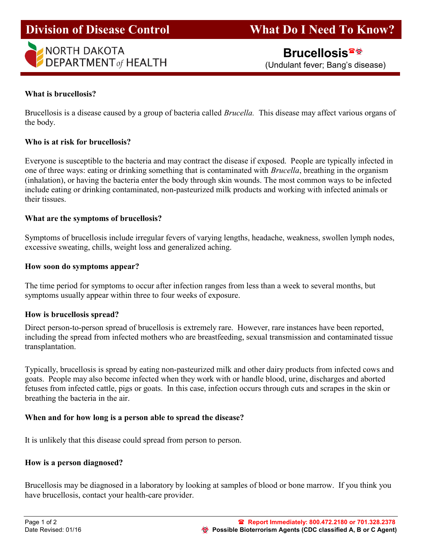# I





(Undulant fever; Bang's disease)

# What is brucellosis?

Brucellosis is a disease caused by a group of bacteria called *Brucella*. This disease may affect various organs of the body.

## Who is at risk for brucellosis?

Everyone is susceptible to the bacteria and may contract the disease if exposed. People are typically infected in one of three ways: eating or drinking something that is contaminated with Brucella, breathing in the organism (inhalation), or having the bacteria enter the body through skin wounds. The most common ways to be infected include eating or drinking contaminated, non-pasteurized milk products and working with infected animals or their tissues.

# What are the symptoms of brucellosis?

Symptoms of brucellosis include irregular fevers of varying lengths, headache, weakness, swollen lymph nodes, excessive sweating, chills, weight loss and generalized aching.

## How soon do symptoms appear?

The time period for symptoms to occur after infection ranges from less than a week to several months, but symptoms usually appear within three to four weeks of exposure.

## How is brucellosis spread?

Direct person-to-person spread of brucellosis is extremely rare. However, rare instances have been reported, including the spread from infected mothers who are breastfeeding, sexual transmission and contaminated tissue transplantation.

Typically, brucellosis is spread by eating non-pasteurized milk and other dairy products from infected cows and goats. People may also become infected when they work with or handle blood, urine, discharges and aborted fetuses from infected cattle, pigs or goats. In this case, infection occurs through cuts and scrapes in the skin or breathing the bacteria in the air.

## When and for how long is a person able to spread the disease?

It is unlikely that this disease could spread from person to person.

## How is a person diagnosed?

Brucellosis may be diagnosed in a laboratory by looking at samples of blood or bone marrow. If you think you have brucellosis, contact your health-care provider.